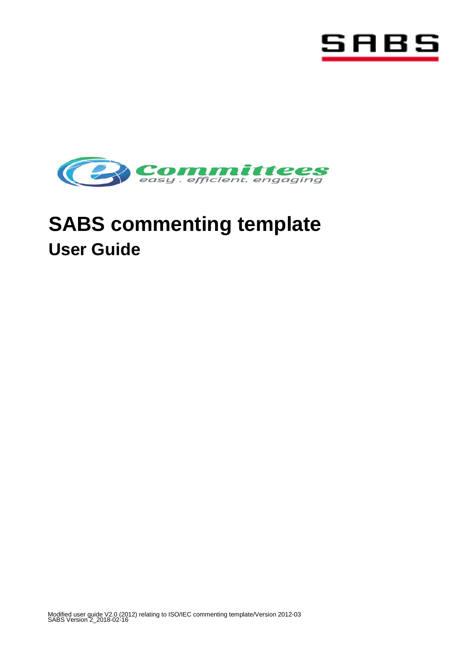



# **SABS commenting template User Guide**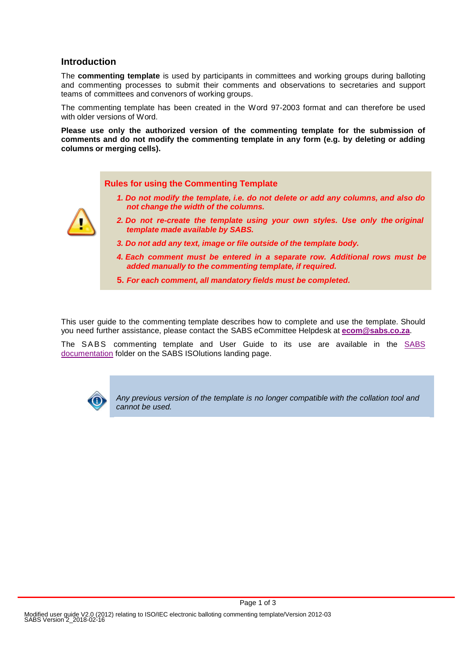### **Introduction**

The **commenting template** is used by participants in committees and working groups during balloting and commenting processes to submit their comments and observations to secretaries and support teams of committees and convenors of working groups.

The commenting template has been created in the Word 97-2003 format and can therefore be used with older versions of Word.

**Please use only the authorized version of the commenting template for the submission of comments and do not modify the commenting template in any form (e.g. by deleting or adding columns or merging cells).**

#### **Rules for using the Commenting Template**

*1. Do not modify the template, i.e. do not delete or add any columns, and also do not change the width of the columns.*



- *2. Do not re-create the template using your own styles. Use only the original template made available by SABS.*
- *3. Do not add any text, image or file outside of the template body.*
- *4. Each comment must be entered in a separate row. Additional rows must be added manually to the commenting template, if required.*
- **5.** *For each comment, all mandatory fields must be completed.*

This user guide to the commenting template describes how to complete and use the template. Should you need further assistance, please contact the SABS eCommittee Helpdesk at **[ecom@sabs.co.za](mailto:ecom@sabs.co.za)**.

The SABS commenting template and User Guide to its use are available in the [SABS](https://isolutions.iso.org/ecom/public/sabs/Livelink?func=ll&objId=2484944&objAction=browse&viewType=1)  [documentation](https://isolutions.iso.org/ecom/public/sabs/Livelink?func=ll&objId=2484944&objAction=browse&viewType=1) folder on the SABS ISOlutions landing page.



*Any previous version of the template is no longer compatible with the collation tool and cannot be used.*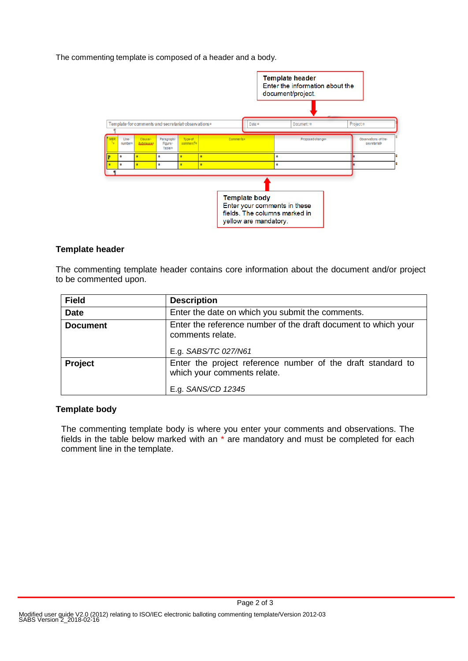The commenting template is composed of a header and a body.



## **Template header**

The commenting template header contains core information about the document and/or project to be commented upon.

| <b>Field</b>    | <b>Description</b>                                                                                               |
|-----------------|------------------------------------------------------------------------------------------------------------------|
| <b>Date</b>     | Enter the date on which you submit the comments.                                                                 |
| <b>Document</b> | Enter the reference number of the draft document to which your<br>comments relate.<br>E.g. SABS/TC 027/N61       |
| <b>Project</b>  | Enter the project reference number of the draft standard to<br>which your comments relate.<br>E.g. SANS/CD 12345 |

## **Template body**

The commenting template body is where you enter your comments and observations. The fields in the table below marked with an \* are mandatory and must be completed for each comment line in the template.

Page 2 of 3